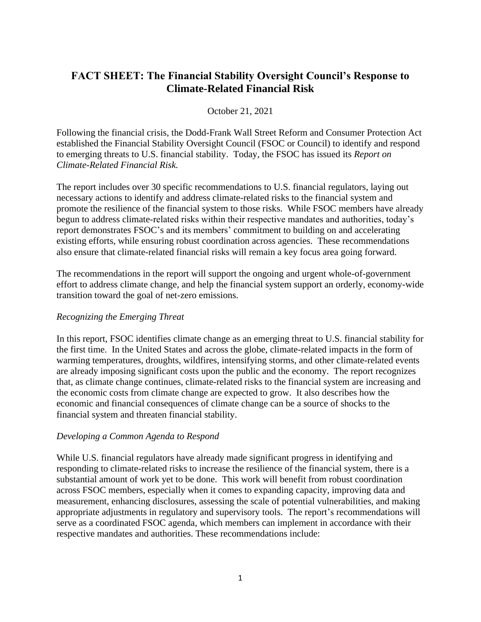# **FACT SHEET: The Financial Stability Oversight Council's Response to Climate-Related Financial Risk**

## October 21, 2021

Following the financial crisis, the Dodd-Frank Wall Street Reform and Consumer Protection Act established the Financial Stability Oversight Council (FSOC or Council) to identify and respond to emerging threats to U.S. financial stability. Today, the FSOC has issued its *Report on Climate-Related Financial Risk.* 

The report includes over 30 specific recommendations to U.S. financial regulators, laying out necessary actions to identify and address climate-related risks to the financial system and promote the resilience of the financial system to those risks. While FSOC members have already begun to address climate-related risks within their respective mandates and authorities, today's report demonstrates FSOC's and its members' commitment to building on and accelerating existing efforts, while ensuring robust coordination across agencies. These recommendations also ensure that climate-related financial risks will remain a key focus area going forward.

The recommendations in the report will support the ongoing and urgent whole-of-government effort to address climate change, and help the financial system support an orderly, economy-wide transition toward the goal of net-zero emissions.

## *Recognizing the Emerging Threat*

In this report, FSOC identifies climate change as an emerging threat to U.S. financial stability for the first time. In the United States and across the globe, climate-related impacts in the form of warming temperatures, droughts, wildfires, intensifying storms, and other climate-related events are already imposing significant costs upon the public and the economy. The report recognizes that, as climate change continues, climate-related risks to the financial system are increasing and the economic costs from climate change are expected to grow. It also describes how the economic and financial consequences of climate change can be a source of shocks to the financial system and threaten financial stability.

## *Developing a Common Agenda to Respond*

While U.S. financial regulators have already made significant progress in identifying and responding to climate-related risks to increase the resilience of the financial system, there is a substantial amount of work yet to be done. This work will benefit from robust coordination across FSOC members, especially when it comes to expanding capacity, improving data and measurement, enhancing disclosures, assessing the scale of potential vulnerabilities, and making appropriate adjustments in regulatory and supervisory tools. The report's recommendations will serve as a coordinated FSOC agenda, which members can implement in accordance with their respective mandates and authorities. These recommendations include: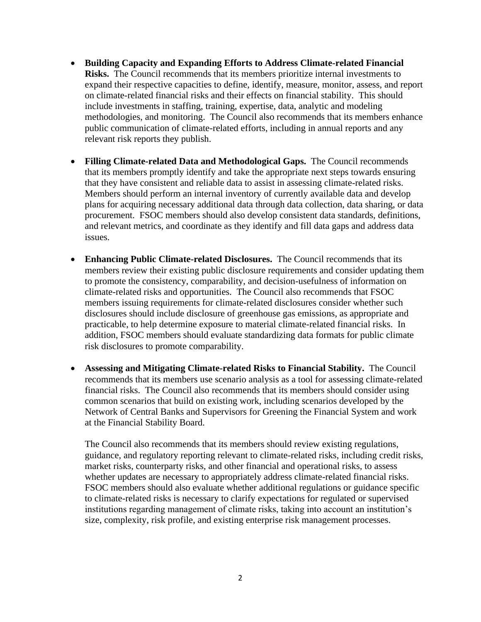- **Building Capacity and Expanding Efforts to Address Climate-related Financial Risks.** The Council recommends that its members prioritize internal investments to expand their respective capacities to define, identify, measure, monitor, assess, and report on climate-related financial risks and their effects on financial stability. This should include investments in staffing, training, expertise, data, analytic and modeling methodologies, and monitoring. The Council also recommends that its members enhance public communication of climate-related efforts, including in annual reports and any relevant risk reports they publish.
- **Filling Climate-related Data and Methodological Gaps.** The Council recommends that its members promptly identify and take the appropriate next steps towards ensuring that they have consistent and reliable data to assist in assessing climate-related risks. Members should perform an internal inventory of currently available data and develop plans for acquiring necessary additional data through data collection, data sharing, or data procurement. FSOC members should also develop consistent data standards, definitions, and relevant metrics, and coordinate as they identify and fill data gaps and address data issues.
- **Enhancing Public Climate-related Disclosures.** The Council recommends that its members review their existing public disclosure requirements and consider updating them to promote the consistency, comparability, and decision-usefulness of information on climate-related risks and opportunities. The Council also recommends that FSOC members issuing requirements for climate-related disclosures consider whether such disclosures should include disclosure of greenhouse gas emissions, as appropriate and practicable, to help determine exposure to material climate-related financial risks. In addition, FSOC members should evaluate standardizing data formats for public climate risk disclosures to promote comparability.
- **Assessing and Mitigating Climate-related Risks to Financial Stability.** The Council recommends that its members use scenario analysis as a tool for assessing climate-related financial risks.The Council also recommends that its members should consider using common scenarios that build on existing work, including scenarios developed by the Network of Central Banks and Supervisors for Greening the Financial System and work at the Financial Stability Board.

The Council also recommends that its members should review existing regulations, guidance, and regulatory reporting relevant to climate-related risks, including credit risks, market risks, counterparty risks, and other financial and operational risks, to assess whether updates are necessary to appropriately address climate-related financial risks. FSOC members should also evaluate whether additional regulations or guidance specific to climate-related risks is necessary to clarify expectations for regulated or supervised institutions regarding management of climate risks, taking into account an institution's size, complexity, risk profile, and existing enterprise risk management processes.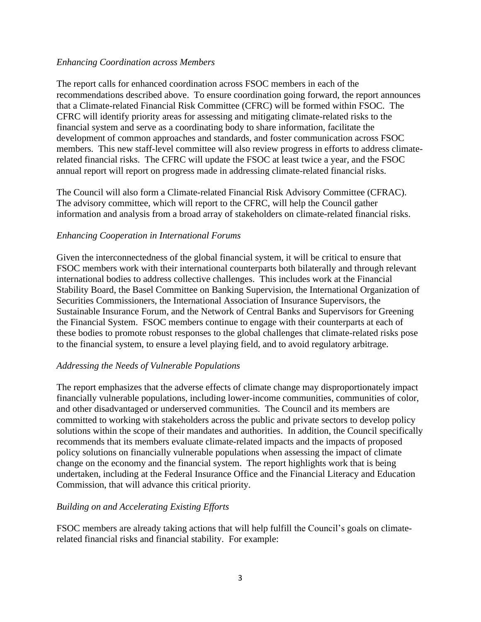## *Enhancing Coordination across Members*

The report calls for enhanced coordination across FSOC members in each of the recommendations described above. To ensure coordination going forward, the report announces that a Climate-related Financial Risk Committee (CFRC) will be formed within FSOC. The CFRC will identify priority areas for assessing and mitigating climate-related risks to the financial system and serve as a coordinating body to share information, facilitate the development of common approaches and standards, and foster communication across FSOC members. This new staff-level committee will also review progress in efforts to address climaterelated financial risks. The CFRC will update the FSOC at least twice a year, and the FSOC annual report will report on progress made in addressing climate-related financial risks.

The Council will also form a Climate-related Financial Risk Advisory Committee (CFRAC). The advisory committee, which will report to the CFRC, will help the Council gather information and analysis from a broad array of stakeholders on climate-related financial risks.

## *Enhancing Cooperation in International Forums*

Given the interconnectedness of the global financial system, it will be critical to ensure that FSOC members work with their international counterparts both bilaterally and through relevant international bodies to address collective challenges. This includes work at the Financial Stability Board, the Basel Committee on Banking Supervision, the International Organization of Securities Commissioners, the International Association of Insurance Supervisors, the Sustainable Insurance Forum, and the Network of Central Banks and Supervisors for Greening the Financial System. FSOC members continue to engage with their counterparts at each of these bodies to promote robust responses to the global challenges that climate-related risks pose to the financial system, to ensure a level playing field, and to avoid regulatory arbitrage.

## *Addressing the Needs of Vulnerable Populations*

The report emphasizes that the adverse effects of climate change may disproportionately impact financially vulnerable populations, including lower-income communities, communities of color, and other disadvantaged or underserved communities. The Council and its members are committed to working with stakeholders across the public and private sectors to develop policy solutions within the scope of their mandates and authorities. In addition, the Council specifically recommends that its members evaluate climate-related impacts and the impacts of proposed policy solutions on financially vulnerable populations when assessing the impact of climate change on the economy and the financial system. The report highlights work that is being undertaken, including at the Federal Insurance Office and the Financial Literacy and Education Commission, that will advance this critical priority.

## *Building on and Accelerating Existing Efforts*

FSOC members are already taking actions that will help fulfill the Council's goals on climaterelated financial risks and financial stability. For example: